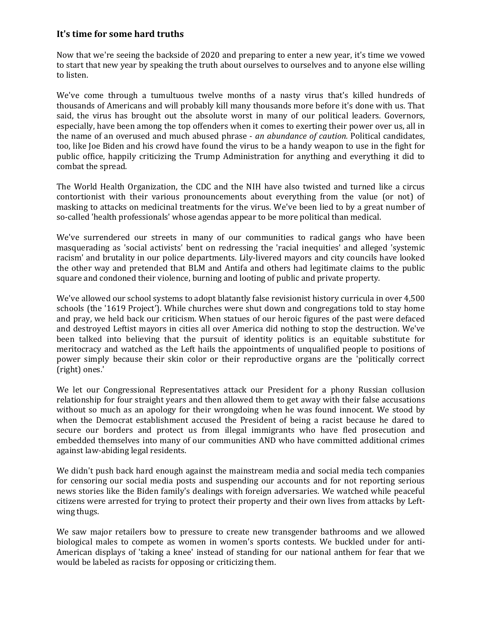## **It's time for some hard truths**

Now that we're seeing the backside of 2020 and preparing to enter a new year, it's time we vowed to start that new year by speaking the truth about ourselves to ourselves and to anyone else willing to listen.

We've come through a tumultuous twelve months of a nasty virus that's killed hundreds of thousands of Americans and will probably kill many thousands more before it's done with us. That said, the virus has brought out the absolute worst in many of our political leaders. Governors, especially, have been among the top offenders when it comes to exerting their power over us, all in the name of an overused and much abused phrase - *an abundance of caution.* Political candidates, too, like Joe Biden and his crowd have found the virus to be a handy weapon to use in the fight for public office, happily criticizing the Trump Administration for anything and everything it did to combat the spread.

The World Health Organization, the CDC and the NIH have also twisted and turned like a circus contortionist with their various pronouncements about everything from the value (or not) of masking to attacks on medicinal treatments for the virus. We've been lied to by a great number of so-called 'health professionals' whose agendas appear to be more political than medical.

We've surrendered our streets in many of our communities to radical gangs who have been masquerading as 'social activists' bent on redressing the 'racial inequities' and alleged 'systemic racism' and brutality in our police departments. Lily-livered mayors and city councils have looked the other way and pretended that BLM and Antifa and others had legitimate claims to the public square and condoned their violence, burning and looting of public and private property.

We've allowed our school systems to adopt blatantly false revisionist history curricula in over 4,500 schools (the '1619 Project'). While churches were shut down and congregations told to stay home and pray, we held back our criticism. When statues of our heroic figures of the past were defaced and destroyed Leftist mayors in cities all over America did nothing to stop the destruction. We've been talked into believing that the pursuit of identity politics is an equitable substitute for meritocracy and watched as the Left hails the appointments of unqualified people to positions of power simply because their skin color or their reproductive organs are the 'politically correct (right) ones.'

We let our Congressional Representatives attack our President for a phony Russian collusion relationship for four straight years and then allowed them to get away with their false accusations without so much as an apology for their wrongdoing when he was found innocent. We stood by when the Democrat establishment accused the President of being a racist because he dared to secure our borders and protect us from illegal immigrants who have fled prosecution and embedded themselves into many of our communities AND who have committed additional crimes against law-abiding legal residents.

We didn't push back hard enough against the mainstream media and social media tech companies for censoring our social media posts and suspending our accounts and for not reporting serious news stories like the Biden family's dealings with foreign adversaries. We watched while peaceful citizens were arrested for trying to protect their property and their own lives from attacks by Leftwing thugs.

We saw major retailers bow to pressure to create new transgender bathrooms and we allowed biological males to compete as women in women's sports contests. We buckled under for anti-American displays of 'taking a knee' instead of standing for our national anthem for fear that we would be labeled as racists for opposing or criticizing them.